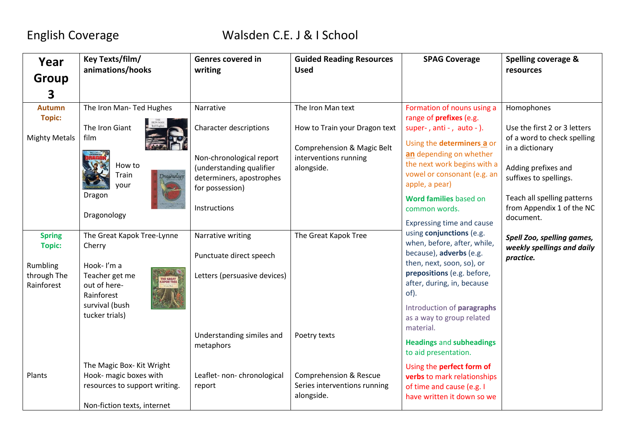| Year                                                                    | Key Texts/film/<br>animations/hooks                                                                                                             | <b>Genres covered in</b><br>writing                                                                                                                        | <b>Guided Reading Resources</b><br><b>Used</b>                                                                          | <b>SPAG Coverage</b>                                                                                                                                                                                                                                                        | <b>Spelling coverage &amp;</b>                                                                                                                                                                            |
|-------------------------------------------------------------------------|-------------------------------------------------------------------------------------------------------------------------------------------------|------------------------------------------------------------------------------------------------------------------------------------------------------------|-------------------------------------------------------------------------------------------------------------------------|-----------------------------------------------------------------------------------------------------------------------------------------------------------------------------------------------------------------------------------------------------------------------------|-----------------------------------------------------------------------------------------------------------------------------------------------------------------------------------------------------------|
| <b>Group</b>                                                            |                                                                                                                                                 |                                                                                                                                                            |                                                                                                                         |                                                                                                                                                                                                                                                                             | resources                                                                                                                                                                                                 |
| 3                                                                       |                                                                                                                                                 |                                                                                                                                                            |                                                                                                                         |                                                                                                                                                                                                                                                                             |                                                                                                                                                                                                           |
| <b>Autumn</b><br><b>Topic:</b><br><b>Mighty Metals</b>                  | The Iron Man- Ted Hughes<br>The Iron Giant<br>film<br>How to<br>Train<br>Dragonolog<br>your<br>Dragon<br>Dragonology                            | Narrative<br>Character descriptions<br>Non-chronological report<br>(understanding qualifier<br>determiners, apostrophes<br>for possession)<br>Instructions | The Iron Man text<br>How to Train your Dragon text<br>Comprehension & Magic Belt<br>interventions running<br>alongside. | Formation of nouns using a<br>range of prefixes (e.g.<br>super-, $anti -$ , $auto -$ ).<br>Using the determiners a or<br>an depending on whether<br>the next work begins with a<br>vowel or consonant (e.g. an<br>apple, a pear)<br>Word families based on<br>common words. | Homophones<br>Use the first 2 or 3 letters<br>of a word to check spelling<br>in a dictionary<br>Adding prefixes and<br>suffixes to spellings.<br>Teach all spelling patterns<br>from Appendix 1 of the NC |
|                                                                         |                                                                                                                                                 |                                                                                                                                                            |                                                                                                                         | Expressing time and cause                                                                                                                                                                                                                                                   | document.                                                                                                                                                                                                 |
| <b>Spring</b><br><b>Topic:</b><br>Rumbling<br>through The<br>Rainforest | The Great Kapok Tree-Lynne<br>Cherry<br>Hook-I'm a<br>Teacher get me<br>THE GREAT<br>KAPOK TREE<br>out of here-<br>Rainforest<br>survival (bush | Narrative writing<br>Punctuate direct speech<br>Letters (persuasive devices)                                                                               | The Great Kapok Tree                                                                                                    | using conjunctions (e.g.<br>when, before, after, while,<br>because), adverbs (e.g.<br>then, next, soon, so), or<br>prepositions (e.g. before,<br>after, during, in, because<br>of).<br>Introduction of paragraphs                                                           | Spell Zoo, spelling games,<br>weekly spellings and daily<br>practice.                                                                                                                                     |
|                                                                         | tucker trials)                                                                                                                                  | Understanding similes and<br>metaphors                                                                                                                     | Poetry texts                                                                                                            | as a way to group related<br>material.<br><b>Headings and subheadings</b><br>to aid presentation.                                                                                                                                                                           |                                                                                                                                                                                                           |
| Plants                                                                  | The Magic Box- Kit Wright<br>Hook- magic boxes with<br>resources to support writing.<br>Non-fiction texts, internet                             | Leaflet- non-chronological<br>report                                                                                                                       | <b>Comprehension &amp; Rescue</b><br>Series interventions running<br>alongside.                                         | Using the perfect form of<br>verbs to mark relationships<br>of time and cause (e.g. I<br>have written it down so we                                                                                                                                                         |                                                                                                                                                                                                           |